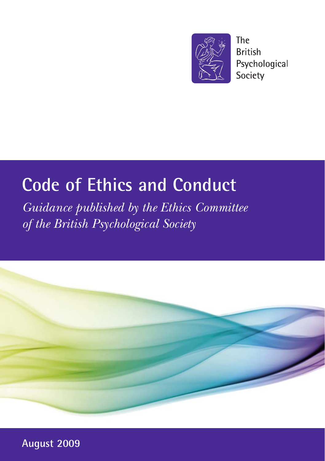

**The British** Psychological Society

# **Code of Ethics and Conduct**

*Guidance published by the Ethics Committee of the British Psychological Society*



**August 2009**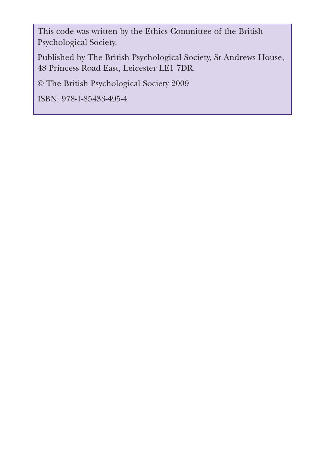This code was written by the Ethics Committee of the British Psychological Society.

Published by The British Psychological Society, St Andrews House, 48 Princess Road East, Leicester LE1 7DR.

© The British Psychological Society 2009

ISBN: 978-1-85433-495-4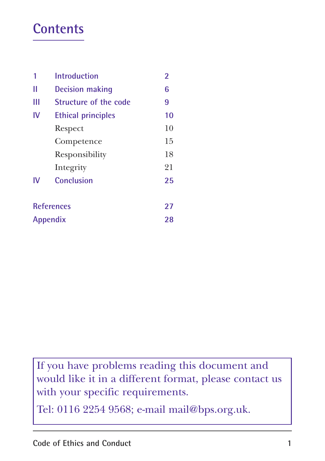### **Contents**

| 1                 | <b>Introduction</b>       | 2  |
|-------------------|---------------------------|----|
| Ш                 | <b>Decision making</b>    | 6  |
| Ш                 | Structure of the code     | 9  |
| IV                | <b>Ethical principles</b> | 10 |
|                   | Respect                   | 10 |
|                   | Competence                | 15 |
|                   | Responsibility            | 18 |
|                   | Integrity                 | 21 |
| IV                | Conclusion                | 25 |
|                   |                           |    |
| <b>References</b> |                           | 27 |
| Appendix          |                           | 28 |

If you have problems reading this document and would like it in a different format, please contact us with your specific requirements.

Tel: 0116 2254 9568; e-mail mail@bps.org.uk.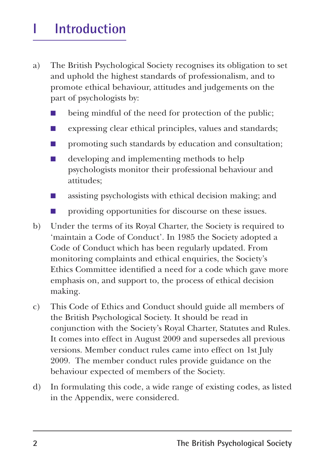## **I** Introduction

- a) The British Psychological Society recognises its obligation to set and uphold the highest standards of professionalism, and to promote ethical behaviour, attitudes and judgements on the part of psychologists by:
	- being mindful of the need for protection of the public;
	- expressing clear ethical principles, values and standards;
	- promoting such standards by education and consultation;
	- developing and implementing methods to help psychologists monitor their professional behaviour and attitudes;
	- assisting psychologists with ethical decision making; and
	- providing opportunities for discourse on these issues.
- b) Under the terms of its Royal Charter, the Society is required to 'maintain a Code of Conduct'. In 1985 the Society adopted a Code of Conduct which has been regularly updated. From monitoring complaints and ethical enquiries, the Society's Ethics Committee identified a need for a code which gave more emphasis on, and support to, the process of ethical decision making.
- c) This Code of Ethics and Conduct should guide all members of the British Psychological Society. It should be read in conjunction with the Society's Royal Charter, Statutes and Rules. It comes into effect in August 2009 and supersedes all previous versions. Member conduct rules came into effect on 1st July 2009. The member conduct rules provide guidance on the behaviour expected of members of the Society.
- d) In formulating this code, a wide range of existing codes, as listed in the Appendix, were considered.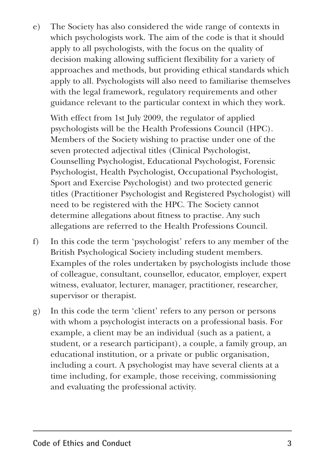e) The Society has also considered the wide range of contexts in which psychologists work. The aim of the code is that it should apply to all psychologists, with the focus on the quality of decision making allowing sufficient flexibility for a variety of approaches and methods, but providing ethical standards which apply to all. Psychologists will also need to familiarise themselves with the legal framework, regulatory requirements and other guidance relevant to the particular context in which they work.

With effect from 1st July 2009, the regulator of applied psychologists will be the Health Professions Council (HPC). Members of the Society wishing to practise under one of the seven protected adjectival titles (Clinical Psychologist, Counselling Psychologist, Educational Psychologist, Forensic Psychologist, Health Psychologist, Occupational Psychologist, Sport and Exercise Psychologist) and two protected generic titles (Practitioner Psychologist and Registered Psychologist) will need to be registered with the HPC. The Society cannot determine allegations about fitness to practise. Any such allegations are referred to the Health Professions Council.

- f) In this code the term 'psychologist' refers to any member of the British Psychological Society including student members. Examples of the roles undertaken by psychologists include those of colleague, consultant, counsellor, educator, employer, expert witness, evaluator, lecturer, manager, practitioner, researcher, supervisor or therapist.
- g) In this code the term 'client' refers to any person or persons with whom a psychologist interacts on a professional basis. For example, a client may be an individual (such as a patient, a student, or a research participant), a couple, a family group, an educational institution, or a private or public organisation, including a court. A psychologist may have several clients at a time including, for example, those receiving, commissioning and evaluating the professional activity.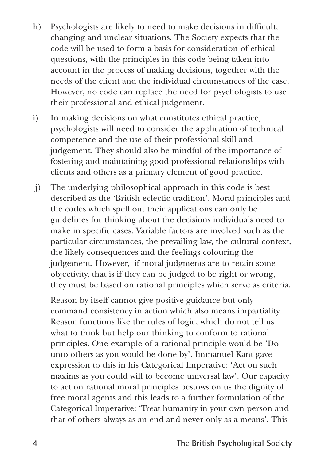- h) Psychologists are likely to need to make decisions in difficult, changing and unclear situations. The Society expects that the code will be used to form a basis for consideration of ethical questions, with the principles in this code being taken into account in the process of making decisions, together with the needs of the client and the individual circumstances of the case. However, no code can replace the need for psychologists to use their professional and ethical judgement.
- i) In making decisions on what constitutes ethical practice, psychologists will need to consider the application of technical competence and the use of their professional skill and judgement. They should also be mindful of the importance of fostering and maintaining good professional relationships with clients and others as a primary element of good practice.
- j) The underlying philosophical approach in this code is best described as the 'British eclectic tradition'. Moral principles and the codes which spell out their applications can only be guidelines for thinking about the decisions individuals need to make in specific cases. Variable factors are involved such as the particular circumstances, the prevailing law, the cultural context, the likely consequences and the feelings colouring the judgement. However, if moral judgments are to retain some objectivity, that is if they can be judged to be right or wrong, they must be based on rational principles which serve as criteria.

Reason by itself cannot give positive guidance but only command consistency in action which also means impartiality. Reason functions like the rules of logic, which do not tell us what to think but help our thinking to conform to rational principles. One example of a rational principle would be 'Do unto others as you would be done by'. Immanuel Kant gave expression to this in his Categorical Imperative: 'Act on such maxims as you could will to become universal law'. Our capacity to act on rational moral principles bestows on us the dignity of free moral agents and this leads to a further formulation of the Categorical Imperative: 'Treat humanity in your own person and that of others always as an end and never only as a means'. This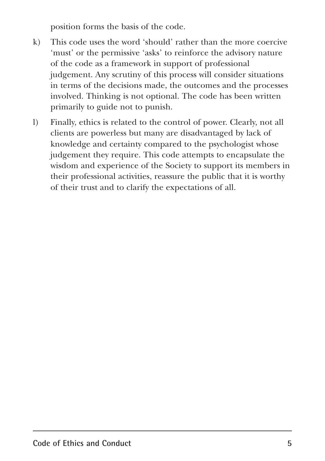position forms the basis of the code.

- k) This code uses the word 'should' rather than the more coercive 'must' or the permissive 'asks' to reinforce the advisory nature of the code as a framework in support of professional judgement. Any scrutiny of this process will consider situations in terms of the decisions made, the outcomes and the processes involved. Thinking is not optional. The code has been written primarily to guide not to punish.
- l) Finally, ethics is related to the control of power. Clearly, not all clients are powerless but many are disadvantaged by lack of knowledge and certainty compared to the psychologist whose judgement they require. This code attempts to encapsulate the wisdom and experience of the Society to support its members in their professional activities, reassure the public that it is worthy of their trust and to clarify the expectations of all.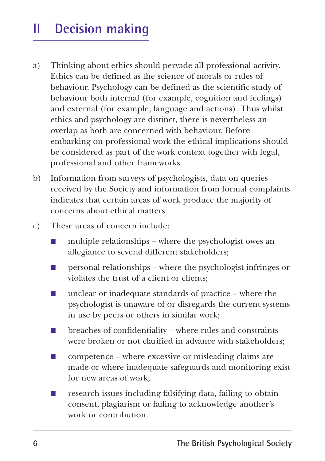## **II Decision making**

- a) Thinking about ethics should pervade all professional activity. Ethics can be defined as the science of morals or rules of behaviour. Psychology can be defined as the scientific study of behaviour both internal (for example, cognition and feelings) and external (for example, language and actions). Thus whilst ethics and psychology are distinct, there is nevertheless an overlap as both are concerned with behaviour. Before embarking on professional work the ethical implications should be considered as part of the work context together with legal, professional and other frameworks.
- b) Information from surveys of psychologists, data on queries received by the Society and information from formal complaints indicates that certain areas of work produce the majority of concerns about ethical matters.
- c) These areas of concern include:
	- multiple relationships where the psychologist owes an allegiance to several different stakeholders;
	- personal relationships where the psychologist infringes or violates the trust of a client or clients;
	- unclear or inadequate standards of practice where the psychologist is unaware of or disregards the current systems in use by peers or others in similar work;
	- $\blacksquare$  breaches of confidentiality where rules and constraints were broken or not clarified in advance with stakeholders;
	- $\Box$  competence where excessive or misleading claims are made or where inadequate safeguards and monitoring exist for new areas of work;
	- research issues including falsifying data, failing to obtain consent, plagiarism or failing to acknowledge another's work or contribution.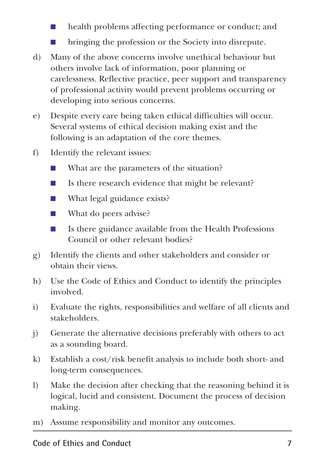- health problems affecting performance or conduct; and
- bringing the profession or the Society into disrepute.
- d) Many of the above concerns involve unethical behaviour but others involve lack of information, poor planning or carelessness. Reflective practice, peer support and transparency of professional activity would prevent problems occurring or developing into serious concerns.
- e) Despite every care being taken ethical difficulties will occur. Several systems of ethical decision making exist and the following is an adaptation of the core themes.
- f) Identify the relevant issues:
	- What are the parameters of the situation?
	- Is there research evidence that might be relevant?
	- What legal guidance exists?
	- What do peers advise?
	- Is there guidance available from the Health Professions Council or other relevant bodies?
- g) Identify the clients and other stakeholders and consider or obtain their views.
- h) Use the Code of Ethics and Conduct to identify the principles involved.
- i) Evaluate the rights, responsibilities and welfare of all clients and stakeholders.
- j) Generate the alternative decisions preferably with others to act as a sounding board.
- k) Establish a cost/risk benefit analysis to include both short- and long-term consequences.
- l) Make the decision after checking that the reasoning behind it is logical, lucid and consistent. Document the process of decision making.
- m) Assume responsibility and monitor any outcomes.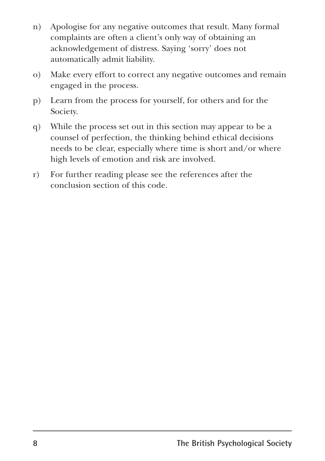- n) Apologise for any negative outcomes that result. Many formal complaints are often a client's only way of obtaining an acknowledgement of distress. Saying 'sorry' does not automatically admit liability.
- o) Make every effort to correct any negative outcomes and remain engaged in the process.
- p) Learn from the process for yourself, for others and for the Society.
- q) While the process set out in this section may appear to be a counsel of perfection, the thinking behind ethical decisions needs to be clear, especially where time is short and/or where high levels of emotion and risk are involved.
- r) For further reading please see the references after the conclusion section of this code.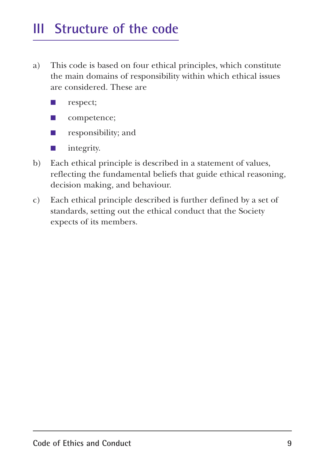### **III Structure of the code**

- a) This code is based on four ethical principles, which constitute the main domains of responsibility within which ethical issues are considered. These are
	- respect;
	- competence;
	- responsibility; and
	- integrity.
- b) Each ethical principle is described in a statement of values, reflecting the fundamental beliefs that guide ethical reasoning, decision making, and behaviour.
- c) Each ethical principle described is further defined by a set of standards, setting out the ethical conduct that the Society expects of its members.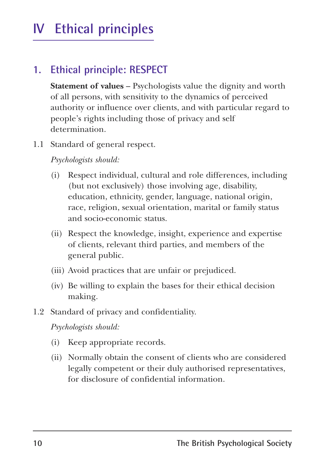## **IV Ethical principles**

### **1. Ethical principle: RESPECT**

**Statement of values** – Psychologists value the dignity and worth of all persons, with sensitivity to the dynamics of perceived authority or influence over clients, and with particular regard to people's rights including those of privacy and self determination.

1.1 Standard of general respect.

*Psychologists should:*

- (i) Respect individual, cultural and role differences, including (but not exclusively) those involving age, disability, education, ethnicity, gender, language, national origin, race, religion, sexual orientation, marital or family status and socio-economic status.
- (ii) Respect the knowledge, insight, experience and expertise of clients, relevant third parties, and members of the general public.
- (iii) Avoid practices that are unfair or prejudiced.
- (iv) Be willing to explain the bases for their ethical decision making.
- 1.2 Standard of privacy and confidentiality.

- (i) Keep appropriate records.
- (ii) Normally obtain the consent of clients who are considered legally competent or their duly authorised representatives, for disclosure of confidential information.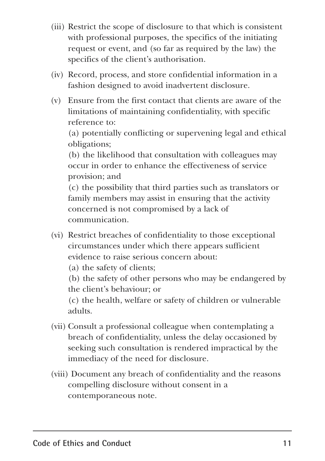- (iii) Restrict the scope of disclosure to that which is consistent with professional purposes, the specifics of the initiating request or event, and (so far as required by the law) the specifics of the client's authorisation.
- (iv) Record, process, and store confidential information in a fashion designed to avoid inadvertent disclosure.
- (v) Ensure from the first contact that clients are aware of the limitations of maintaining confidentiality, with specific reference to:

(a) potentially conflicting or supervening legal and ethical obligations;

(b) the likelihood that consultation with colleagues may occur in order to enhance the effectiveness of service provision; and

(c) the possibility that third parties such as translators or family members may assist in ensuring that the activity concerned is not compromised by a lack of communication.

- (vi) Restrict breaches of confidentiality to those exceptional circumstances under which there appears sufficient evidence to raise serious concern about:
	- (a) the safety of clients;

(b) the safety of other persons who may be endangered by the client's behaviour; or

(c) the health, welfare or safety of children or vulnerable adults.

- (vii) Consult a professional colleague when contemplating a breach of confidentiality, unless the delay occasioned by seeking such consultation is rendered impractical by the immediacy of the need for disclosure.
- (viii) Document any breach of confidentiality and the reasons compelling disclosure without consent in a contemporaneous note.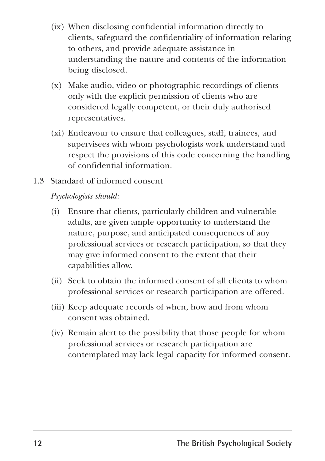- (ix) When disclosing confidential information directly to clients, safeguard the confidentiality of information relating to others, and provide adequate assistance in understanding the nature and contents of the information being disclosed.
- (x) Make audio, video or photographic recordings of clients only with the explicit permission of clients who are considered legally competent, or their duly authorised representatives.
- (xi) Endeavour to ensure that colleagues, staff, trainees, and supervisees with whom psychologists work understand and respect the provisions of this code concerning the handling of confidential information.
- 1.3 Standard of informed consent

- (i) Ensure that clients, particularly children and vulnerable adults, are given ample opportunity to understand the nature, purpose, and anticipated consequences of any professional services or research participation, so that they may give informed consent to the extent that their capabilities allow.
- (ii) Seek to obtain the informed consent of all clients to whom professional services or research participation are offered.
- (iii) Keep adequate records of when, how and from whom consent was obtained.
- (iv) Remain alert to the possibility that those people for whom professional services or research participation are contemplated may lack legal capacity for informed consent.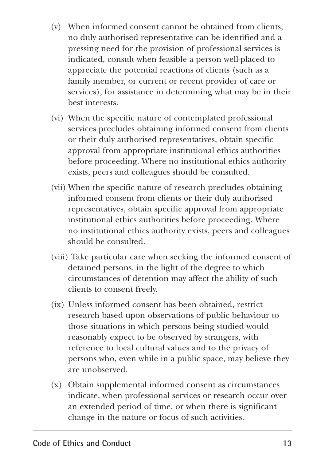- (v) When informed consent cannot be obtained from clients, no duly authorised representative can be identified and a pressing need for the provision of professional services is indicated, consult when feasible a person well-placed to appreciate the potential reactions of clients (such as a family member, or current or recent provider of care or services), for assistance in determining what may be in their best interests.
- (vi) When the specific nature of contemplated professional services precludes obtaining informed consent from clients or their duly authorised representatives, obtain specific approval from appropriate institutional ethics authorities before proceeding. Where no institutional ethics authority exists, peers and colleagues should be consulted.
- (vii) When the specific nature of research precludes obtaining informed consent from clients or their duly authorised representatives, obtain specific approval from appropriate institutional ethics authorities before proceeding. Where no institutional ethics authority exists, peers and colleagues should be consulted.
- (viii) Take particular care when seeking the informed consent of detained persons, in the light of the degree to which circumstances of detention may affect the ability of such clients to consent freely.
- (ix) Unless informed consent has been obtained, restrict research based upon observations of public behaviour to those situations in which persons being studied would reasonably expect to be observed by strangers, with reference to local cultural values and to the privacy of persons who, even while in a public space, may believe they are unobserved.
- (x) Obtain supplemental informed consent as circumstances indicate, when professional services or research occur over an extended period of time, or when there is significant change in the nature or focus of such activities.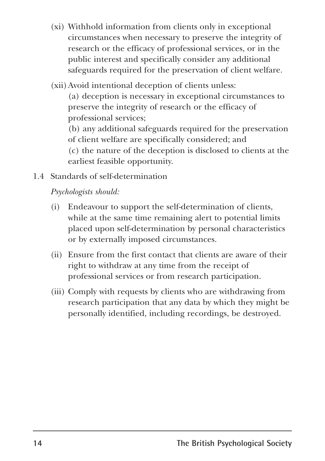- (xi) Withhold information from clients only in exceptional circumstances when necessary to preserve the integrity of research or the efficacy of professional services, or in the public interest and specifically consider any additional safeguards required for the preservation of client welfare.
- (xii)Avoid intentional deception of clients unless:

(a) deception is necessary in exceptional circumstances to preserve the integrity of research or the efficacy of professional services;

(b) any additional safeguards required for the preservation of client welfare are specifically considered; and

(c) the nature of the deception is disclosed to clients at the earliest feasible opportunity.

1.4 Standards of self-determination

- (i) Endeavour to support the self-determination of clients, while at the same time remaining alert to potential limits placed upon self-determination by personal characteristics or by externally imposed circumstances.
- (ii) Ensure from the first contact that clients are aware of their right to withdraw at any time from the receipt of professional services or from research participation.
- (iii) Comply with requests by clients who are withdrawing from research participation that any data by which they might be personally identified, including recordings, be destroyed.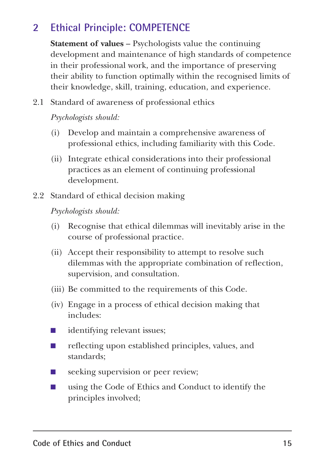### **2 Ethical Principle: COMPETENCE**

**Statement of values** – Psychologists value the continuing development and maintenance of high standards of competence in their professional work, and the importance of preserving their ability to function optimally within the recognised limits of their knowledge, skill, training, education, and experience.

2.1 Standard of awareness of professional ethics

*Psychologists should:*

- (i) Develop and maintain a comprehensive awareness of professional ethics, including familiarity with this Code.
- (ii) Integrate ethical considerations into their professional practices as an element of continuing professional development.
- 2.2 Standard of ethical decision making

- (i) Recognise that ethical dilemmas will inevitably arise in the course of professional practice.
- (ii) Accept their responsibility to attempt to resolve such dilemmas with the appropriate combination of reflection, supervision, and consultation.
- (iii) Be committed to the requirements of this Code.
- (iv) Engage in a process of ethical decision making that includes:
- identifying relevant issues;
- reflecting upon established principles, values, and standards;
- seeking supervision or peer review;
- using the Code of Ethics and Conduct to identify the principles involved;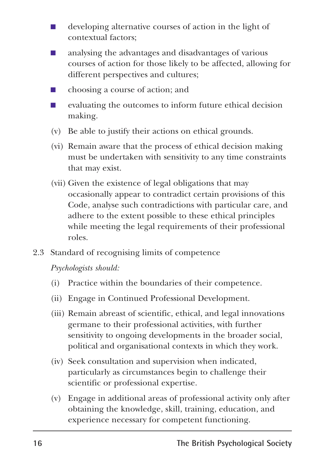- developing alternative courses of action in the light of contextual factors;
- analysing the advantages and disadvantages of various courses of action for those likely to be affected, allowing for different perspectives and cultures;
- choosing a course of action; and
- evaluating the outcomes to inform future ethical decision making.
- (v) Be able to justify their actions on ethical grounds.
- (vi) Remain aware that the process of ethical decision making must be undertaken with sensitivity to any time constraints that may exist.
- (vii) Given the existence of legal obligations that may occasionally appear to contradict certain provisions of this Code, analyse such contradictions with particular care, and adhere to the extent possible to these ethical principles while meeting the legal requirements of their professional roles.
- 2.3 Standard of recognising limits of competence

- (i) Practice within the boundaries of their competence.
- (ii) Engage in Continued Professional Development.
- (iii) Remain abreast of scientific, ethical, and legal innovations germane to their professional activities, with further sensitivity to ongoing developments in the broader social, political and organisational contexts in which they work.
- (iv) Seek consultation and supervision when indicated, particularly as circumstances begin to challenge their scientific or professional expertise.
- (v) Engage in additional areas of professional activity only after obtaining the knowledge, skill, training, education, and experience necessary for competent functioning.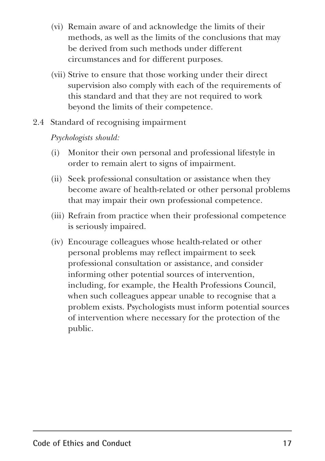- (vi) Remain aware of and acknowledge the limits of their methods, as well as the limits of the conclusions that may be derived from such methods under different circumstances and for different purposes.
- (vii) Strive to ensure that those working under their direct supervision also comply with each of the requirements of this standard and that they are not required to work beyond the limits of their competence.
- 2.4 Standard of recognising impairment

- (i) Monitor their own personal and professional lifestyle in order to remain alert to signs of impairment.
- (ii) Seek professional consultation or assistance when they become aware of health-related or other personal problems that may impair their own professional competence.
- (iii) Refrain from practice when their professional competence is seriously impaired.
- (iv) Encourage colleagues whose health-related or other personal problems may reflect impairment to seek professional consultation or assistance, and consider informing other potential sources of intervention, including, for example, the Health Professions Council, when such colleagues appear unable to recognise that a problem exists. Psychologists must inform potential sources of intervention where necessary for the protection of the public.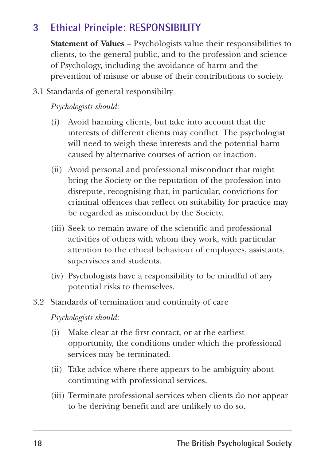#### **3 Ethical Principle: RESPONSIBILITY**

**Statement of Values** – Psychologists value their responsibilities to clients, to the general public, and to the profession and science of Psychology, including the avoidance of harm and the prevention of misuse or abuse of their contributions to society.

3.1 Standards of general responsibilty

*Psychologists should:*

- (i) Avoid harming clients, but take into account that the interests of different clients may conflict. The psychologist will need to weigh these interests and the potential harm caused by alternative courses of action or inaction.
- (ii) Avoid personal and professional misconduct that might bring the Society or the reputation of the profession into disrepute, recognising that, in particular, convictions for criminal offences that reflect on suitability for practice may be regarded as misconduct by the Society.
- (iii) Seek to remain aware of the scientific and professional activities of others with whom they work, with particular attention to the ethical behaviour of employees, assistants, supervisees and students.
- (iv) Psychologists have a responsibility to be mindful of any potential risks to themselves.
- 3.2 Standards of termination and continuity of care

- (i) Make clear at the first contact, or at the earliest opportunity, the conditions under which the professional services may be terminated.
- (ii) Take advice where there appears to be ambiguity about continuing with professional services.
- (iii) Terminate professional services when clients do not appear to be deriving benefit and are unlikely to do so.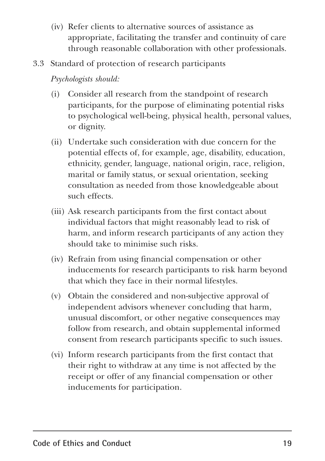- (iv) Refer clients to alternative sources of assistance as appropriate, facilitating the transfer and continuity of care through reasonable collaboration with other professionals.
- 3.3 Standard of protection of research participants

- (i) Consider all research from the standpoint of research participants, for the purpose of eliminating potential risks to psychological well-being, physical health, personal values, or dignity.
- (ii) Undertake such consideration with due concern for the potential effects of, for example, age, disability, education, ethnicity, gender, language, national origin, race, religion, marital or family status, or sexual orientation, seeking consultation as needed from those knowledgeable about such effects.
- (iii) Ask research participants from the first contact about individual factors that might reasonably lead to risk of harm, and inform research participants of any action they should take to minimise such risks.
- (iv) Refrain from using financial compensation or other inducements for research participants to risk harm beyond that which they face in their normal lifestyles.
- (v) Obtain the considered and non-subjective approval of independent advisors whenever concluding that harm, unusual discomfort, or other negative consequences may follow from research, and obtain supplemental informed consent from research participants specific to such issues.
- (vi) Inform research participants from the first contact that their right to withdraw at any time is not affected by the receipt or offer of any financial compensation or other inducements for participation.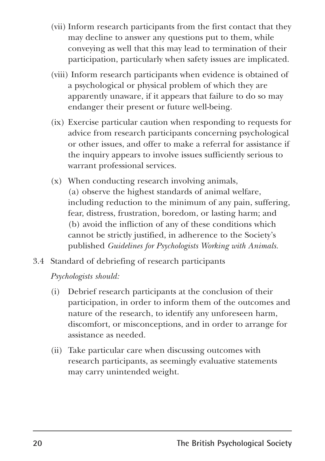- (vii) Inform research participants from the first contact that they may decline to answer any questions put to them, while conveying as well that this may lead to termination of their participation, particularly when safety issues are implicated.
- (viii) Inform research participants when evidence is obtained of a psychological or physical problem of which they are apparently unaware, if it appears that failure to do so may endanger their present or future well-being.
- (ix) Exercise particular caution when responding to requests for advice from research participants concerning psychological or other issues, and offer to make a referral for assistance if the inquiry appears to involve issues sufficiently serious to warrant professional services.
- (x) When conducting research involving animals, (a) observe the highest standards of animal welfare, including reduction to the minimum of any pain, suffering, fear, distress, frustration, boredom, or lasting harm; and (b) avoid the infliction of any of these conditions which cannot be strictly justified, in adherence to the Society's published *Guidelines for Psychologists Working with Animals.*
- 3.4 Standard of debriefing of research participants

- (i) Debrief research participants at the conclusion of their participation, in order to inform them of the outcomes and nature of the research, to identify any unforeseen harm, discomfort, or misconceptions, and in order to arrange for assistance as needed.
- (ii) Take particular care when discussing outcomes with research participants, as seemingly evaluative statements may carry unintended weight.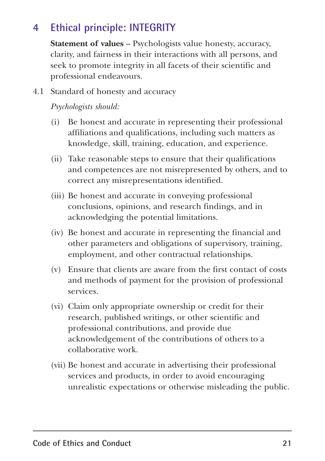### **4 Ethical principle: INTEGRITY**

**Statement of values** – Psychologists value honesty, accuracy, clarity, and fairness in their interactions with all persons, and seek to promote integrity in all facets of their scientific and professional endeavours.

4.1 Standard of honesty and accuracy

- (i) Be honest and accurate in representing their professional affiliations and qualifications, including such matters as knowledge, skill, training, education, and experience.
- (ii) Take reasonable steps to ensure that their qualifications and competences are not misrepresented by others, and to correct any misrepresentations identified.
- (iii) Be honest and accurate in conveying professional conclusions, opinions, and research findings, and in acknowledging the potential limitations.
- (iv) Be honest and accurate in representing the financial and other parameters and obligations of supervisory, training, employment, and other contractual relationships.
- (v) Ensure that clients are aware from the first contact of costs and methods of payment for the provision of professional services.
- (vi) Claim only appropriate ownership or credit for their research, published writings, or other scientific and professional contributions, and provide due acknowledgement of the contributions of others to a collaborative work.
- (vii) Be honest and accurate in advertising their professional services and products, in order to avoid encouraging unrealistic expectations or otherwise misleading the public.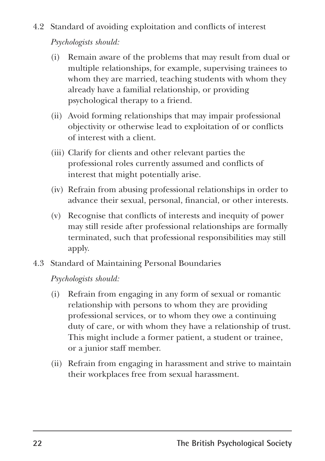- 4.2 Standard of avoiding exploitation and conflicts of interest *Psychologists should:*
	- (i) Remain aware of the problems that may result from dual or multiple relationships, for example, supervising trainees to whom they are married, teaching students with whom they already have a familial relationship, or providing psychological therapy to a friend.
	- (ii) Avoid forming relationships that may impair professional objectivity or otherwise lead to exploitation of or conflicts of interest with a client.
	- (iii) Clarify for clients and other relevant parties the professional roles currently assumed and conflicts of interest that might potentially arise.
	- (iv) Refrain from abusing professional relationships in order to advance their sexual, personal, financial, or other interests.
	- (v) Recognise that conflicts of interests and inequity of power may still reside after professional relationships are formally terminated, such that professional responsibilities may still apply.
- 4.3 Standard of Maintaining Personal Boundaries

- (i) Refrain from engaging in any form of sexual or romantic relationship with persons to whom they are providing professional services, or to whom they owe a continuing duty of care, or with whom they have a relationship of trust. This might include a former patient, a student or trainee, or a junior staff member.
- (ii) Refrain from engaging in harassment and strive to maintain their workplaces free from sexual harassment.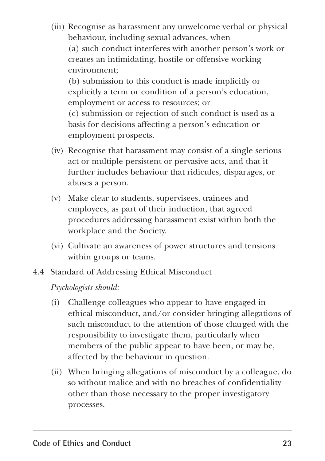- (iii) Recognise as harassment any unwelcome verbal or physical behaviour, including sexual advances, when (a) such conduct interferes with another person's work or creates an intimidating, hostile or offensive working environment; (b) submission to this conduct is made implicitly or explicitly a term or condition of a person's education, employment or access to resources; or (c) submission or rejection of such conduct is used as a basis for decisions affecting a person's education or employment prospects.
- (iv) Recognise that harassment may consist of a single serious act or multiple persistent or pervasive acts, and that it further includes behaviour that ridicules, disparages, or abuses a person.
- (v) Make clear to students, supervisees, trainees and employees, as part of their induction, that agreed procedures addressing harassment exist within both the workplace and the Society.
- (vi) Cultivate an awareness of power structures and tensions within groups or teams.
- 4.4 Standard of Addressing Ethical Misconduct

- (i) Challenge colleagues who appear to have engaged in ethical misconduct, and/or consider bringing allegations of such misconduct to the attention of those charged with the responsibility to investigate them, particularly when members of the public appear to have been, or may be, affected by the behaviour in question.
- (ii) When bringing allegations of misconduct by a colleague, do so without malice and with no breaches of confidentiality other than those necessary to the proper investigatory processes.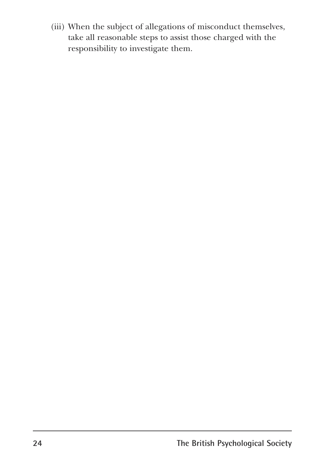(iii) When the subject of allegations of misconduct themselves, take all reasonable steps to assist those charged with the responsibility to investigate them.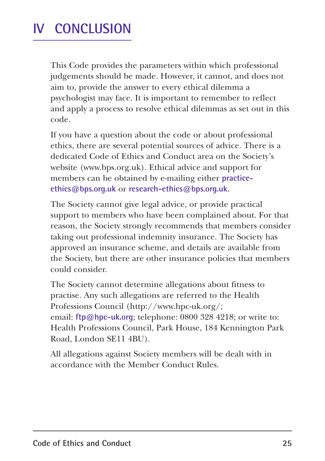### **IV CONCLUSION**

This Code provides the parameters within which professional judgements should be made. However, it cannot, and does not aim to, provide the answer to every ethical dilemma a psychologist may face. It is important to remember to reflect and apply a process to resolve ethical dilemmas as set out in this code.

If you have a question about the code or about professional ethics, there are several potential sources of advice. There is a dedicated Code of Ethics and Conduct area on the Society's website (www.bps.org.uk). Ethical advice and support for members can be obtained by e-mailing either **practiceethics@bps.org.uk** or **research-ethics@bps.org.uk**.

The Society cannot give legal advice, or provide practical support to members who have been complained about. For that reason, the Society strongly recommends that members consider taking out professional indemnity insurance. The Society has approved an insurance scheme, and details are available from the Society, but there are other insurance policies that members could consider.

The Society cannot determine allegations about fitness to practise. Any such allegations are referred to the Health Professions Council (http://www.hpc-uk.org/; email: **ftp@hpc-uk.org**; telephone: 0800 328 4218; or write to: Health Professions Council, Park House, 184 Kennington Park Road, London SE11 4BU).

All allegations against Society members will be dealt with in accordance with the Member Conduct Rules.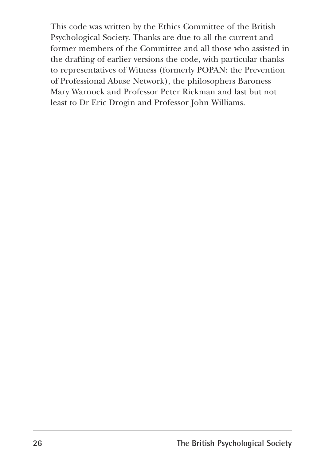This code was written by the Ethics Committee of the British Psychological Society. Thanks are due to all the current and former members of the Committee and all those who assisted in the drafting of earlier versions the code, with particular thanks to representatives of Witness (formerly POPAN: the Prevention of Professional Abuse Network), the philosophers Baroness Mary Warnock and Professor Peter Rickman and last but not least to Dr Eric Drogin and Professor John Williams.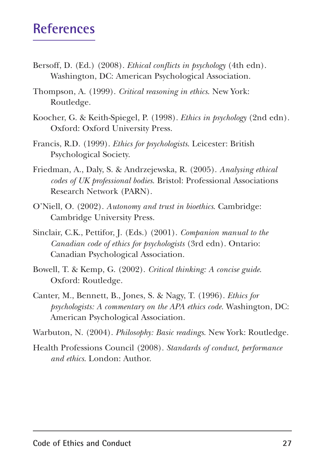### **References**

- Bersoff, D. (Ed.) (2008). *Ethical conflicts in psychology* (4th edn). Washington, DC: American Psychological Association.
- Thompson, A. (1999). *Critical reasoning in ethics*. New York: Routledge.
- Koocher, G. & Keith-Spiegel, P. (1998). *Ethics in psychology* (2nd edn). Oxford: Oxford University Press.
- Francis, R.D. (1999). *Ethics for psychologists*. Leicester: British Psychological Society.
- Friedman, A., Daly, S. & Andrzejewska, R. (2005). *Analysing ethical codes of UK professional bodies*. Bristol: Professional Associations Research Network (PARN).
- O'Niell, O. (2002). *Autonomy and trust in bioethics*. Cambridge: Cambridge University Press.
- Sinclair, C.K., Pettifor, J. (Eds.) (2001). *Companion manual to the Canadian code of ethics for psychologists* (3rd edn). Ontario: Canadian Psychological Association.
- Bowell, T. & Kemp, G. (2002). *Critical thinking: A concise guide*. Oxford: Routledge.
- Canter, M., Bennett, B., Jones, S. & Nagy, T. (1996). *Ethics for psychologists: A commentary on the APA ethics code.* Washington, DC: American Psychological Association.

Warbuton, N. (2004). *Philosophy: Basic readings*. New York: Routledge.

Health Professions Council (2008). *Standards of conduct, performance and ethics*. London: Author.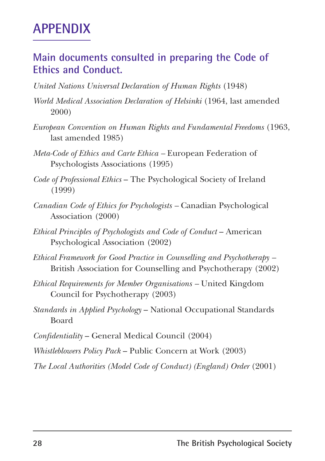### **APPENDIX**

#### **Main documents consulted in preparing the Code of Ethics and Conduct.**

- *United Nations Universal Declaration of Human Rights* (1948)
- *World Medical Association Declaration of Helsinki* (1964, last amended 2000)
- *European Convention on Human Rights and Fundamental Freedoms* (1963, last amended 1985)
- *Meta-Code of Ethics and Carte Ethica* European Federation of Psychologists Associations (1995)
- *Code of Professional Ethics*  The Psychological Society of Ireland (1999)
- *Canadian Code of Ethics for Psychologists –* Canadian Psychological Association (2000)
- *Ethical Principles of Psychologists and Code of Conduct American* Psychological Association (2002)
- *Ethical Framework for Good Practice in Counselling and Psychotherapy –* British Association for Counselling and Psychotherapy (2002)
- *Ethical Requirements for Member Organisations* United Kingdom Council for Psychotherapy (2003)
- *Standards in Applied Psychology* National Occupational Standards Board
- *Confidentiality* General Medical Council (2004)
- *Whistleblowers Policy Pack*  Public Concern at Work (2003)
- *The Local Authorities (Model Code of Conduct) (England) Order* (2001)